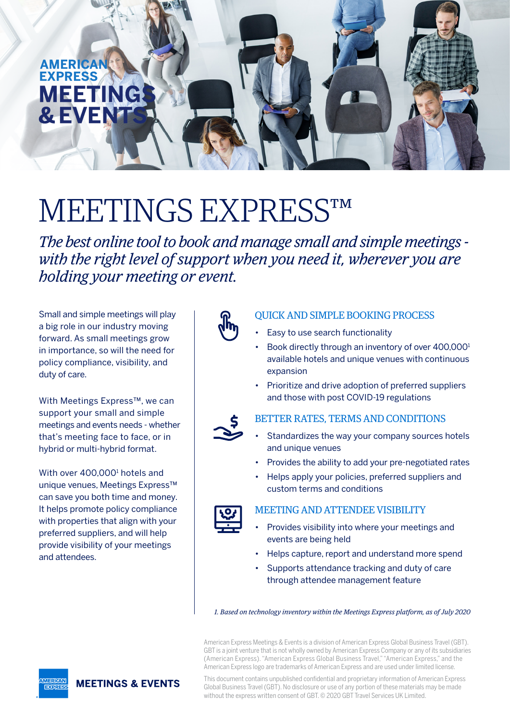

# MEETINGS EXPRESS™

*The best online tool to book and manage small and simple meetings with the right level of support when you need it, wherever you are holding your meeting or event.*

Small and simple meetings will play a big role in our industry moving forward. As small meetings grow in importance, so will the need for policy compliance, visibility, and duty of care.

With Meetings Express™, we can support your small and simple meetings and events needs - whether that's meeting face to face, or in hybrid or multi-hybrid format.

With over 400,000<sup>1</sup> hotels and unique venues, Meetings Express™ can save you both time and money. It helps promote policy compliance with properties that align with your preferred suppliers, and will help provide visibility of your meetings and attendees.



- Easy to use search functionality
- Book directly through an inventory of over 400,000<sup>1</sup> available hotels and unique venues with continuous expansion
- Prioritize and drive adoption of preferred suppliers and those with post COVID-19 regulations



#### BETTER RATES, TERMS AND CONDITIONS

- Standardizes the way your company sources hotels and unique venues
- Provides the ability to add your pre-negotiated rates
- • Helps apply your policies, preferred suppliers and custom terms and conditions



#### MEETING AND ATTENDEE VISIBILITY

- Provides visibility into where your meetings and events are being held
- • Helps capture, report and understand more spend
- Supports attendance tracking and duty of care through attendee management feature

*1. Based on technology inventory within the Meetings Express platform, as of July 2020*

American Express Meetings & Events is a division of American Express Global Business Travel (GBT). GBT is a joint venture that is not wholly owned by American Express Company or any of its subsidiaries (American Express). "American Express Global Business Travel," "American Express," and the American Express logo are trademarks of American Express and are used under limited license.

This document contains unpublished confidential and proprietary information of American Express Global Business Travel (GBT). No disclosure or use of any portion of these materials may be made without the express written consent of GBT. © 2020 GBT Travel Services UK Limited.

**MEETINGS & EVENTS**